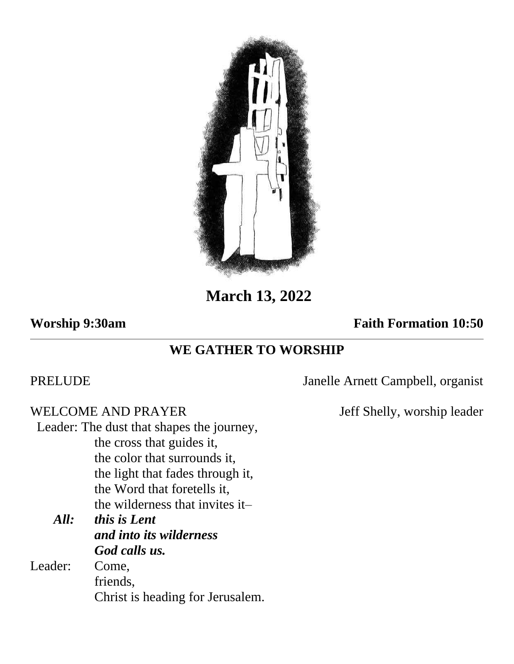

**March 13, 2022**

## **Worship 9:30am Faith Formation 10:50**

# **WE GATHER TO WORSHIP**

WELCOME AND PRAYER Jeff Shelly, worship leader Leader: The dust that shapes the journey, the cross that guides it, the color that surrounds it, the light that fades through it, the Word that foretells it, the wilderness that invites it– *All: this is Lent and into its wilderness God calls us.* Leader: Come, friends,

Christ is heading for Jerusalem.

PRELUDE Janelle Arnett Campbell, organist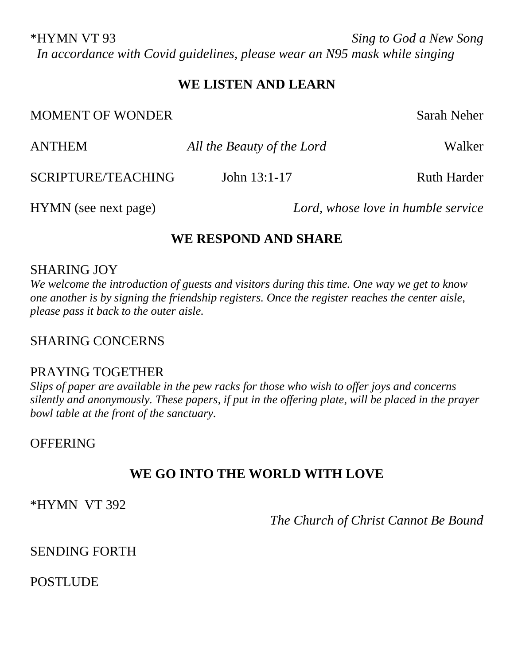\*HYMN VT 93 *Sing to God a New Song In accordance with Covid guidelines, please wear an N95 mask while singing*

## **WE LISTEN AND LEARN**

MOMENT OF WONDER Sarah Neher

| <b>INIVIVIERT VI WVINDER</b> |                            | Dafail Inchel                      |
|------------------------------|----------------------------|------------------------------------|
| <b>ANTHEM</b>                | All the Beauty of the Lord | Walker                             |
| SCRIPTURE/TEACHING           | John $13:1-17$             | <b>Ruth Harder</b>                 |
| HYMN (see next page)         |                            | Lord, whose love in humble service |

## **WE RESPOND AND SHARE**

#### SHARING JOY

*We welcome the introduction of guests and visitors during this time. One way we get to know one another is by signing the friendship registers. Once the register reaches the center aisle, please pass it back to the outer aisle.*

## SHARING CONCERNS

#### PRAYING TOGETHER

*Slips of paper are available in the pew racks for those who wish to offer joys and concerns silently and anonymously. These papers, if put in the offering plate, will be placed in the prayer bowl table at the front of the sanctuary.* 

#### **OFFERING**

## **WE GO INTO THE WORLD WITH LOVE**

\*HYMN VT 392

*The Church of Christ Cannot Be Bound*

## SENDING FORTH

POSTLUDE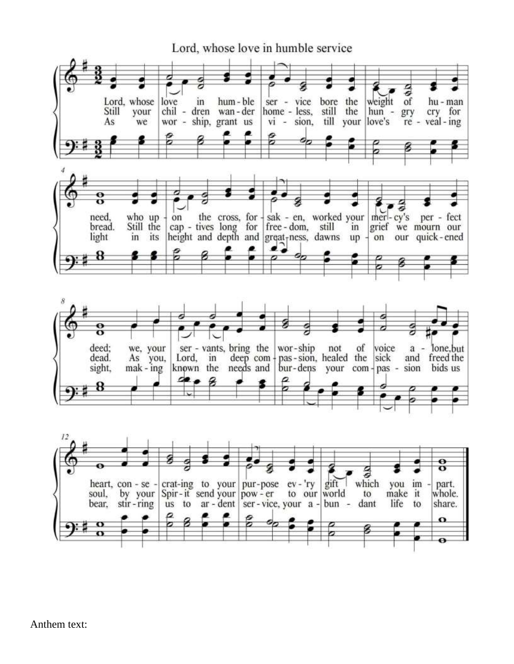

Anthem text: